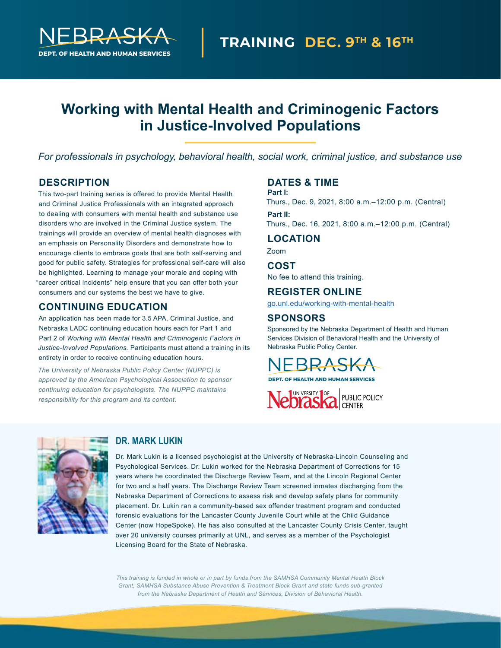

# **Working with Mental Health and Criminogenic Factors in Justice-Involved Populations**

*For professionals in psychology, behavioral health, social work, criminal justice, and substance use*

# **DESCRIPTION**

This two-part training series is offered to provide Mental Health and Criminal Justice Professionals with an integrated approach to dealing with consumers with mental health and substance use disorders who are involved in the Criminal Justice system. The trainings will provide an overview of mental health diagnoses with an emphasis on Personality Disorders and demonstrate how to encourage clients to embrace goals that are both self-serving and good for public safety. Strategies for professional self-care will also be highlighted. Learning to manage your morale and coping with "career critical incidents" help ensure that you can offer both your consumers and our systems the best we have to give.

# **CONTINUING EDUCATION**

An application has been made for 3.5 APA, Criminal Justice, and Nebraska LADC continuing education hours each for Part 1 and Part 2 of *Working with Mental Health and Criminogenic Factors in Justice-Involved Populations.* Participants must attend a training in its entirety in order to receive continuing education hours.

*The University of Nebraska Public Policy Center (NUPPC) is approved by the American Psychological Association to sponsor continuing education for psychologists. The NUPPC maintains responsibility for this program and its content.*

### **DATES & TIME**

#### **Part I:**

Thurs., Dec. 9, 2021, 8:00 a.m.–12:00 p.m. (Central) **Part II:** 

Thurs., Dec. 16, 2021, 8:00 a.m.–12:00 p.m. (Central)

#### **LOCATION**

Zoom

#### **COST**

No fee to attend this training.

### **REGISTER ONLINE**

[go.unl.edu/working-with-mental-health](https://go.unl.edu/working-with-mental-health)

#### **SPONSORS**

Sponsored by the Nebraska Department of Health and Human Services Division of Behavioral Health and the University of Nebraska Public Policy Center.

**DEPT. OF HEALTH AND HUMAN SERVICES**





### **DR. MARK LUKIN**

Dr. Mark Lukin is a licensed psychologist at the University of Nebraska-Lincoln Counseling and Psychological Services. Dr. Lukin worked for the Nebraska Department of Corrections for 15 years where he coordinated the Discharge Review Team, and at the Lincoln Regional Center for two and a half years. The Discharge Review Team screened inmates discharging from the Nebraska Department of Corrections to assess risk and develop safety plans for community placement. Dr. Lukin ran a community-based sex offender treatment program and conducted forensic evaluations for the Lancaster County Juvenile Court while at the Child Guidance Center (now HopeSpoke). He has also consulted at the Lancaster County Crisis Center, taught over 20 university courses primarily at UNL, and serves as a member of the Psychologist Licensing Board for the State of Nebraska.

*This training is funded in whole or in part by funds from the SAMHSA Community Mental Health Block Grant, SAMHSA Substance Abuse Prevention & Treatment Block Grant and state funds sub-granted from the Nebraska Department of Health and Services, Division of Behavioral Health.*